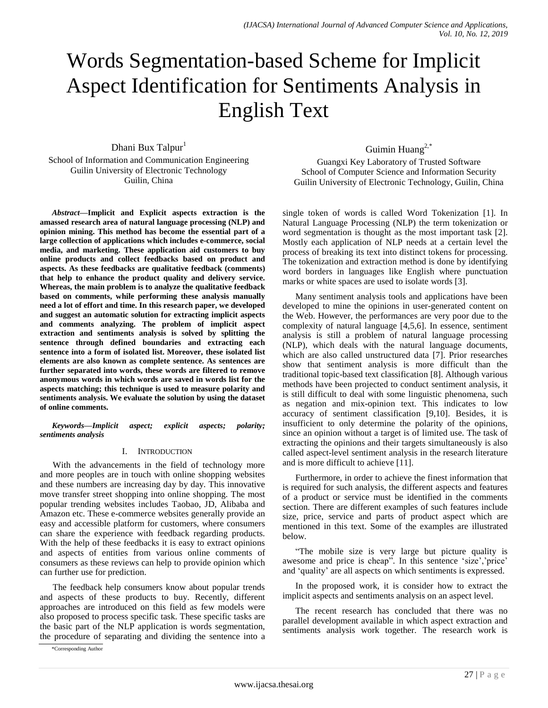# Words Segmentation-based Scheme for Implicit Aspect Identification for Sentiments Analysis in English Text

Dhani Bux Talpur<sup>1</sup> School of Information and Communication Engineering Guilin University of Electronic Technology Guilin, China

*Abstract***—Implicit and Explicit aspects extraction is the amassed research area of natural language processing (NLP) and opinion mining. This method has become the essential part of a large collection of applications which includes e-commerce, social media, and marketing. These application aid customers to buy online products and collect feedbacks based on product and aspects. As these feedbacks are qualitative feedback (comments) that help to enhance the product quality and delivery service. Whereas, the main problem is to analyze the qualitative feedback based on comments, while performing these analysis manually need a lot of effort and time. In this research paper, we developed and suggest an automatic solution for extracting implicit aspects and comments analyzing. The problem of implicit aspect extraction and sentiments analysis is solved by splitting the sentence through defined boundaries and extracting each sentence into a form of isolated list. Moreover, these isolated list elements are also known as complete sentence. As sentences are further separated into words, these words are filtered to remove anonymous words in which words are saved in words list for the aspects matching; this technique is used to measure polarity and sentiments analysis. We evaluate the solution by using the dataset of online comments.**

*Keywords—Implicit aspect; explicit aspects; polarity; sentiments analysis*

# I. INTRODUCTION

With the advancements in the field of technology more and more peoples are in touch with online shopping websites and these numbers are increasing day by day. This innovative move transfer street shopping into online shopping. The most popular trending websites includes Taobao, JD, Alibaba and Amazon etc. These e-commerce websites generally provide an easy and accessible platform for customers, where consumers can share the experience with feedback regarding products. With the help of these feedbacks it is easy to extract opinions and aspects of entities from various online comments of consumers as these reviews can help to provide opinion which can further use for prediction.

The feedback help consumers know about popular trends and aspects of these products to buy. Recently, different approaches are introduced on this field as few models were also proposed to process specific task. These specific tasks are the basic part of the NLP application is words segmentation, the procedure of separating and dividing the sentence into a

\*Corresponding Author

Guimin Huang<sup>2,\*</sup>

Guangxi Key Laboratory of Trusted Software School of Computer Science and Information Security Guilin University of Electronic Technology, Guilin, China

single token of words is called Word Tokenization [1]. In Natural Language Processing (NLP) the term tokenization or word segmentation is thought as the most important task [2]. Mostly each application of NLP needs at a certain level the process of breaking its text into distinct tokens for processing. The tokenization and extraction method is done by identifying word borders in languages like English where punctuation marks or white spaces are used to isolate words [3].

Many sentiment analysis tools and applications have been developed to mine the opinions in user-generated content on the Web. However, the performances are very poor due to the complexity of natural language [4,5,6]. In essence, sentiment analysis is still a problem of natural language processing (NLP), which deals with the natural language documents, which are also called unstructured data [7]. Prior researches show that sentiment analysis is more difficult than the traditional topic-based text classification [8]. Although various methods have been projected to conduct sentiment analysis, it is still difficult to deal with some linguistic phenomena, such as negation and mix-opinion text. This indicates to low accuracy of sentiment classification [9,10]. Besides, it is insufficient to only determine the polarity of the opinions, since an opinion without a target is of limited use. The task of extracting the opinions and their targets simultaneously is also called aspect-level sentiment analysis in the research literature and is more difficult to achieve [11].

Furthermore, in order to achieve the finest information that is required for such analysis, the different aspects and features of a product or service must be identified in the comments section. There are different examples of such features include size, price, service and parts of product aspect which are mentioned in this text. Some of the examples are illustrated below.

"The mobile size is very large but picture quality is awesome and price is cheap". In this sentence 'size','price' and 'quality' are all aspects on which sentiments is expressed.

In the proposed work, it is consider how to extract the implicit aspects and sentiments analysis on an aspect level.

The recent research has concluded that there was no parallel development available in which aspect extraction and sentiments analysis work together. The research work is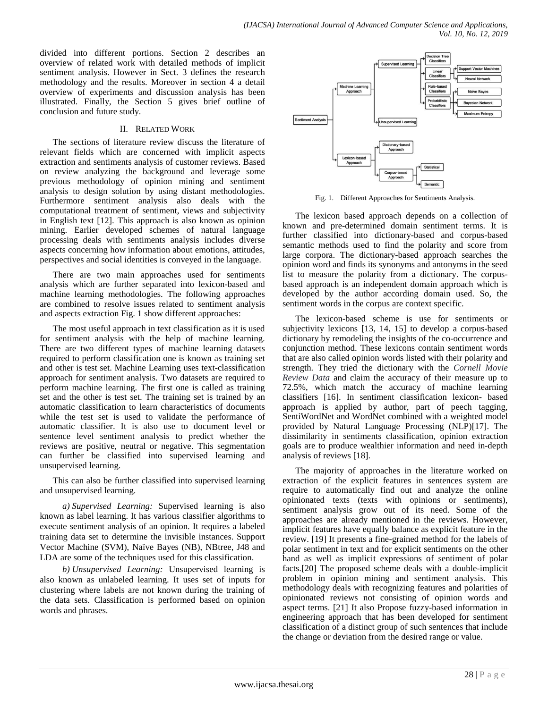divided into different portions. Section 2 describes an overview of related work with detailed methods of implicit sentiment analysis. However in Sect. 3 defines the research methodology and the results. Moreover in section 4 a detail overview of experiments and discussion analysis has been illustrated. Finally, the Section 5 gives brief outline of conclusion and future study.

## II. RELATED WORK

The sections of literature review discuss the literature of relevant fields which are concerned with implicit aspects extraction and sentiments analysis of customer reviews. Based on review analyzing the background and leverage some previous methodology of opinion mining and sentiment analysis to design solution by using distant methodologies. Furthermore sentiment analysis also deals with the computational treatment of sentiment, views and subjectivity in English text [12]. This approach is also known as opinion mining. Earlier developed schemes of natural language processing deals with sentiments analysis includes diverse aspects concerning how information about emotions, attitudes, perspectives and social identities is conveyed in the language.

There are two main approaches used for sentiments analysis which are further separated into lexicon-based and machine learning methodologies. The following approaches are combined to resolve issues related to sentiment analysis and aspects extraction Fig. 1 show different approaches:

The most useful approach in text classification as it is used for sentiment analysis with the help of machine learning. There are two different types of machine learning datasets required to perform classification one is known as training set and other is test set. Machine Learning uses text-classification approach for sentiment analysis. Two datasets are required to perform machine learning. The first one is called as training set and the other is test set. The training set is trained by an automatic classification to learn characteristics of documents while the test set is used to validate the performance of automatic classifier. It is also use to document level or sentence level sentiment analysis to predict whether the reviews are positive, neutral or negative. This segmentation can further be classified into supervised learning and unsupervised learning.

This can also be further classified into supervised learning and unsupervised learning.

*a) Supervised Learning:* Supervised learning is also known as label learning. It has various classifier algorithms to execute sentiment analysis of an opinion. It requires a labeled training data set to determine the invisible instances. Support Vector Machine (SVM), Naïve Bayes (NB), NBtree, J48 and LDA are some of the techniques used for this classification.

*b) Unsupervised Learning:* Unsupervised learning is also known as unlabeled learning. It uses set of inputs for clustering where labels are not known during the training of the data sets. Classification is performed based on opinion words and phrases.



Fig. 1. Different Approaches for Sentiments Analysis.

The lexicon based approach depends on a collection of known and pre-determined domain sentiment terms. It is further classified into dictionary-based and corpus-based semantic methods used to find the polarity and score from large corpora. The dictionary-based approach searches the opinion word and finds its synonyms and antonyms in the seed list to measure the polarity from a dictionary. The corpusbased approach is an independent domain approach which is developed by the author according domain used. So, the sentiment words in the corpus are context specific.

The lexicon-based scheme is use for sentiments or subjectivity lexicons [13, 14, 15] to develop a corpus-based dictionary by remodeling the insights of the co-occurrence and conjunction method. These lexicons contain sentiment words that are also called opinion words listed with their polarity and strength. They tried the dictionary with the *Cornell Movie Review Data* and claim the accuracy of their measure up to 72.5%, which match the accuracy of machine learning classifiers [16]. In sentiment classification lexicon- based approach is applied by author, part of peech tagging, SentiWordNet and WordNet combined with a weighted model provided by Natural Language Processing (NLP)[17]. The dissimilarity in sentiments classification, opinion extraction goals are to produce wealthier information and need in-depth analysis of reviews [18].

The majority of approaches in the literature worked on extraction of the explicit features in sentences system are require to automatically find out and analyze the online opinionated texts (texts with opinions or sentiments), sentiment analysis grow out of its need. Some of the approaches are already mentioned in the reviews. However, implicit features have equally balance as explicit feature in the review. [19] It presents a fine-grained method for the labels of polar sentiment in text and for explicit sentiments on the other hand as well as implicit expressions of sentiment of polar facts.[20] The proposed scheme deals with a double-implicit problem in opinion mining and sentiment analysis. This methodology deals with recognizing features and polarities of opinionated reviews not consisting of opinion words and aspect terms. [21] It also Propose fuzzy-based information in engineering approach that has been developed for sentiment classification of a distinct group of such sentences that include the change or deviation from the desired range or value.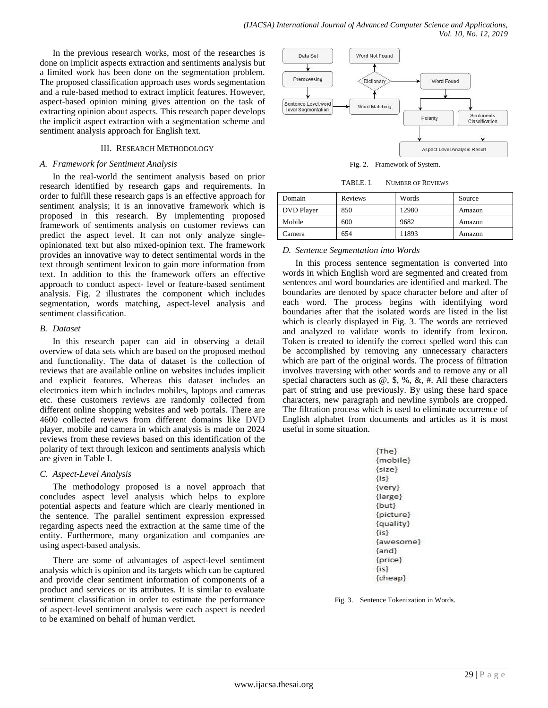In the previous research works, most of the researches is done on implicit aspects extraction and sentiments analysis but a limited work has been done on the segmentation problem. The proposed classification approach uses words segmentation and a rule-based method to extract implicit features. However, aspect-based opinion mining gives attention on the task of extracting opinion about aspects. This research paper develops the implicit aspect extraction with a segmentation scheme and sentiment analysis approach for English text.

## III. RESEARCH METHODOLOGY

#### *A. Framework for Sentiment Analysis*

In the real-world the sentiment analysis based on prior research identified by research gaps and requirements. In order to fulfill these research gaps is an effective approach for sentiment analysis; it is an innovative framework which is proposed in this research. By implementing proposed framework of sentiments analysis on customer reviews can predict the aspect level. It can not only analyze singleopinionated text but also mixed-opinion text. The framework provides an innovative way to detect sentimental words in the text through sentiment lexicon to gain more information from text. In addition to this the framework offers an effective approach to conduct aspect- level or feature-based sentiment analysis. Fig. 2 illustrates the component which includes segmentation, words matching, aspect-level analysis and sentiment classification.

## *B. Dataset*

In this research paper can aid in observing a detail overview of data sets which are based on the proposed method and functionality. The data of dataset is the collection of reviews that are available online on websites includes implicit and explicit features. Whereas this dataset includes an electronics item which includes mobiles, laptops and cameras etc. these customers reviews are randomly collected from different online shopping websites and web portals. There are 4600 collected reviews from different domains like DVD player, mobile and camera in which analysis is made on 2024 reviews from these reviews based on this identification of the polarity of text through lexicon and sentiments analysis which are given in Table I.

## *C. Aspect-Level Analysis*

The methodology proposed is a novel approach that concludes aspect level analysis which helps to explore potential aspects and feature which are clearly mentioned in the sentence. The parallel sentiment expression expressed regarding aspects need the extraction at the same time of the entity. Furthermore, many organization and companies are using aspect-based analysis.

There are some of advantages of aspect-level sentiment analysis which is opinion and its targets which can be captured and provide clear sentiment information of components of a product and services or its attributes. It is similar to evaluate sentiment classification in order to estimate the performance of aspect-level sentiment analysis were each aspect is needed to be examined on behalf of human verdict.



Fig. 2. Framework of System.

TABLE. I. NUMBER OF REVIEWS

| Domain            | Reviews | Words | Source |
|-------------------|---------|-------|--------|
| <b>DVD</b> Player | 850     | 12980 | Amazon |
| Mobile            | 600     | 9682  | Amazon |
| Camera            | 654     | 11893 | Amazon |

## *D. Sentence Segmentation into Words*

In this process sentence segmentation is converted into words in which English word are segmented and created from sentences and word boundaries are identified and marked. The boundaries are denoted by space character before and after of each word. The process begins with identifying word boundaries after that the isolated words are listed in the list which is clearly displayed in Fig. 3. The words are retrieved and analyzed to validate words to identify from lexicon. Token is created to identify the correct spelled word this can be accomplished by removing any unnecessary characters which are part of the original words. The process of filtration involves traversing with other words and to remove any or all special characters such as  $\omega$ ,  $\hat{\mathbf{s}}$ ,  $\hat{\mathbf{w}}$ ,  $\hat{\mathbf{c}}$ ,  $\hat{\mathbf{r}}$ . All these characters part of string and use previously. By using these hard space characters, new paragraph and newline symbols are cropped. The filtration process which is used to eliminate occurrence of English alphabet from documents and articles as it is most useful in some situation.

| ${The}$     |
|-------------|
| {mobile}    |
| $\{size\}$  |
| $\{is\}$    |
| $\{very\}$  |
| $\{large\}$ |
| $\{but\}$   |
| {picture}   |
| {quality}   |
| ${is}$      |
| {awesome}   |
| $\{and\}$   |
| ${price}$   |
| $\{is\}$    |
| {cheap}     |
|             |

Fig. 3. Sentence Tokenization in Words.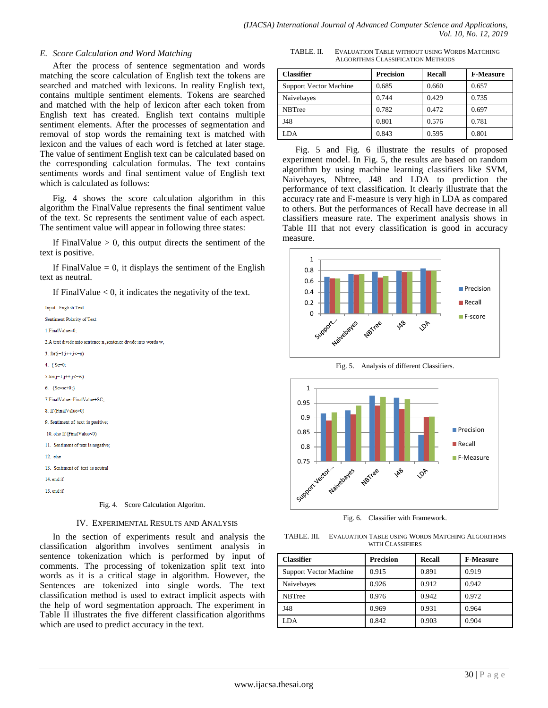## *E. Score Calculation and Word Matching*

After the process of sentence segmentation and words matching the score calculation of English text the tokens are searched and matched with lexicons. In reality English text, contains multiple sentiment elements. Tokens are searched and matched with the help of lexicon after each token from English text has created. English text contains multiple sentiment elements. After the processes of segmentation and removal of stop words the remaining text is matched with lexicon and the values of each word is fetched at later stage. The value of sentiment English text can be calculated based on the corresponding calculation formulas. The text contains sentiments words and final sentiment value of English text which is calculated as follows:

Fig. 4 shows the score calculation algorithm in this algorithm the FinalValue represents the final sentiment value of the text. Sc represents the sentiment value of each aspect. The sentiment value will appear in following three states:

If FinalValue  $> 0$ , this output directs the sentiment of the text is positive.

If FinalValue  $= 0$ , it displays the sentiment of the English text as neutral.

If FinalValue  $< 0$ , it indicates the negativity of the text.

| Input: English Text                                             |
|-----------------------------------------------------------------|
| Sentiment Polarity of Text                                      |
| 1.FinalValue=0;                                                 |
| 2.A text divide into sentence n , sentence divide into words w, |
| 3. for $(i=1;i++j<=n)$                                          |
| 4. { $Sc=0$ ;                                                   |
| $5.$ for(j=1;j++;j<=w)                                          |
| 6. ${Sc=sc+0;}$                                                 |
| 7. Final Value=Final Value+SC:                                  |
| 8. If (FinalValue>0)                                            |
| 9. Sentiment of text is positive;                               |
| 10. else If (FinalValue<0)                                      |
| 11. Sentiment of text is negative;                              |
| $12.$ else                                                      |
| 13. Sentiment of text is neutral                                |
| 14. end if                                                      |
| 15. end if                                                      |
|                                                                 |

Fig. 4. Score Calculation Algoritm.

## IV. EXPERIMENTAL RESULTS AND ANALYSIS

In the section of experiments result and analysis the classification algorithm involves sentiment analysis in sentence tokenization which is performed by input of comments. The processing of tokenization split text into words as it is a critical stage in algorithm. However, the Sentences are tokenized into single words. The text classification method is used to extract implicit aspects with the help of word segmentation approach. The experiment in Table II illustrates the five different classification algorithms which are used to predict accuracy in the text.

TABLE. II. EVALUATION TABLE WITHOUT USING WORDS MATCHING ALGORITHMS CLASSIFICATION METHODS

| <b>Classifier</b>      | <b>Precision</b> | Recall | <b>F-Measure</b> |
|------------------------|------------------|--------|------------------|
| Support Vector Machine | 0.685            | 0.660  | 0.657            |
| Naivebayes             | 0.744            | 0.429  | 0.735            |
| <b>NBTree</b>          | 0.782            | 0.472  | 0.697            |
| J48                    | 0.801            | 0.576  | 0.781            |
| LDA                    | 0.843            | 0.595  | 0.801            |

Fig. 5 and Fig. 6 illustrate the results of proposed experiment model. In Fig. 5, the results are based on random algorithm by using machine learning classifiers like SVM, Naivebayes, Nbtree, J48 and LDA to prediction the performance of text classification. It clearly illustrate that the accuracy rate and F-measure is very high in LDA as compared to others. But the performances of Recall have decrease in all classifiers measure rate. The experiment analysis shows in Table III that not every classification is good in accuracy measure.



Fig. 5. Analysis of different Classifiers.



Fig. 6. Classifier with Framework.

| TABLE. III. | EVALUATION TABLE USING WORDS MATCHING ALGORITHMS |
|-------------|--------------------------------------------------|
|             | WITH CLASSIFIERS                                 |

| <b>Classifier</b>             | <b>Precision</b> | Recall | <b>F-Measure</b> |
|-------------------------------|------------------|--------|------------------|
| <b>Support Vector Machine</b> | 0.915            | 0.891  | 0.919            |
| Naivebayes                    | 0.926            | 0.912  | 0.942            |
| <b>NBTree</b>                 | 0.976            | 0.942  | 0.972            |
| J48                           | 0.969            | 0.931  | 0.964            |
| LDA                           | 0.842            | 0.903  | 0.904            |